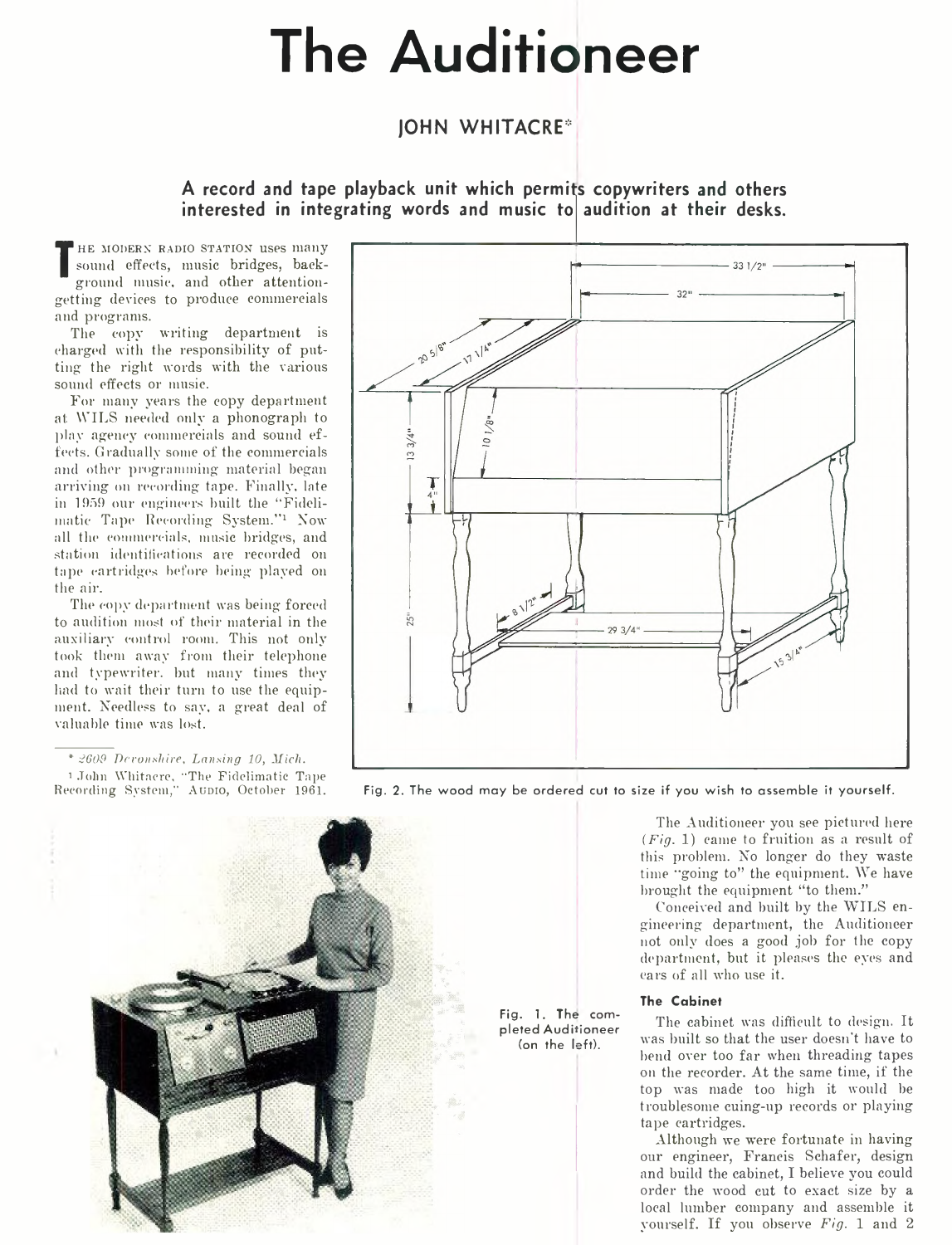# **The Auditioneer**

## **JOHN W HITACRE\***

**A record and tape playback unit which permits copywriters and others interested in integrating words and music to audition at their desks.**

**T** sound enects, music bridges, back-<br>ground music, and other attention-HE MODERN RADIO STATION uses many sound effects, music bridges, backgetting devices to produce commercials and programs.

The copy writing department is charged with the responsibility of putting the right words with the various sound effects or music.

For many years the copy department at: WILS needed only a phonograph to piny agency commercials and sound effects. Gradually some of the commercials and other programming material began arriving on recording tape. Finally, late in 1959 our engineers built the "Fidelimatic Tape Recording System."<sup>1</sup> Now all the commercials, music bridges, and station identifications are recorded on tape cartridges before being played on the air.

The copy department was being forced to audition most of their material in the auxiliary control room. This not only took them away from their telephone and typewriter, but many times they laid to wait their turn to use the equipment. Needless to say, a great deal of valuable time was lost.

*\*9609 T)cconxhire, Lansing 10, Mich.* 1 John Wliitnere, "The Fidelimatic Tape





Fig. 2. The wood may be ordered cut to size if you wish to assemble it yourself.

**Fig. 1. The completed Auditioneer (on the left).**

The Auditioneer you see pictured here *(Fig.* 1) came to fruition as a result of this problem. No longer do they waste time "going to" the equipment. We have brought the equipment "to them."

Conceived and built by the WILS engineering department, the Auditioneer not only does a good job for the copy department, but it pleases the eyes and ears of all who use it.

#### **The Cabinet**

The cabinet was difficult to design. It was built so that the user doesn't have to bend over too far when threading tapes on the recorder. At the same time, if the top was made too high it would be troublesome cuing-up records or playing tape cartridges.

Although we were fortunate in having our engineer, Francis Schafer, design and build the cabinet, I believe you could order the wood cut to exact size by a local lumber company and assemble it yourself. If you observe *Fig.* 1 and 2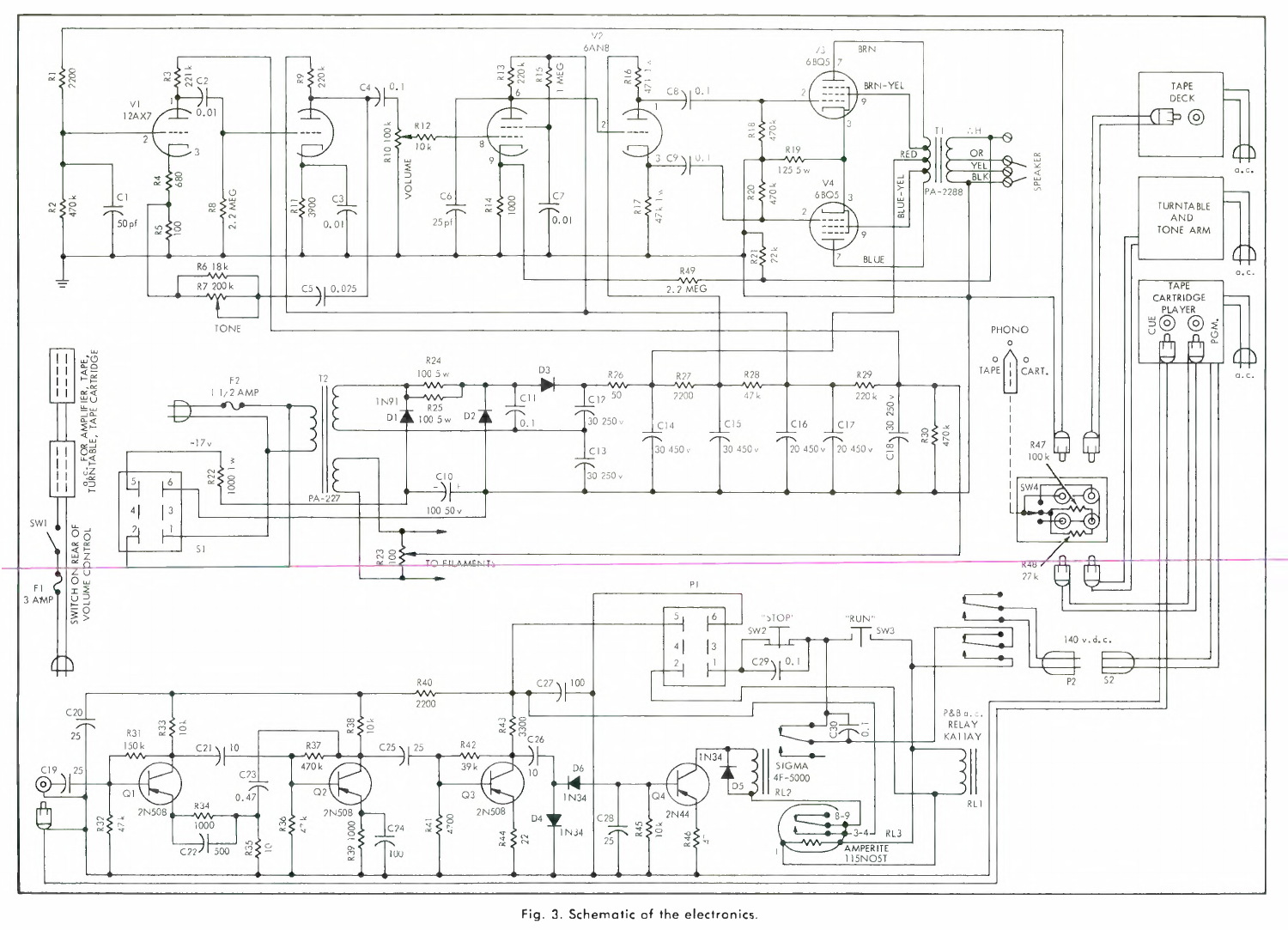

**Fig. 3. Schematic of the electronics.**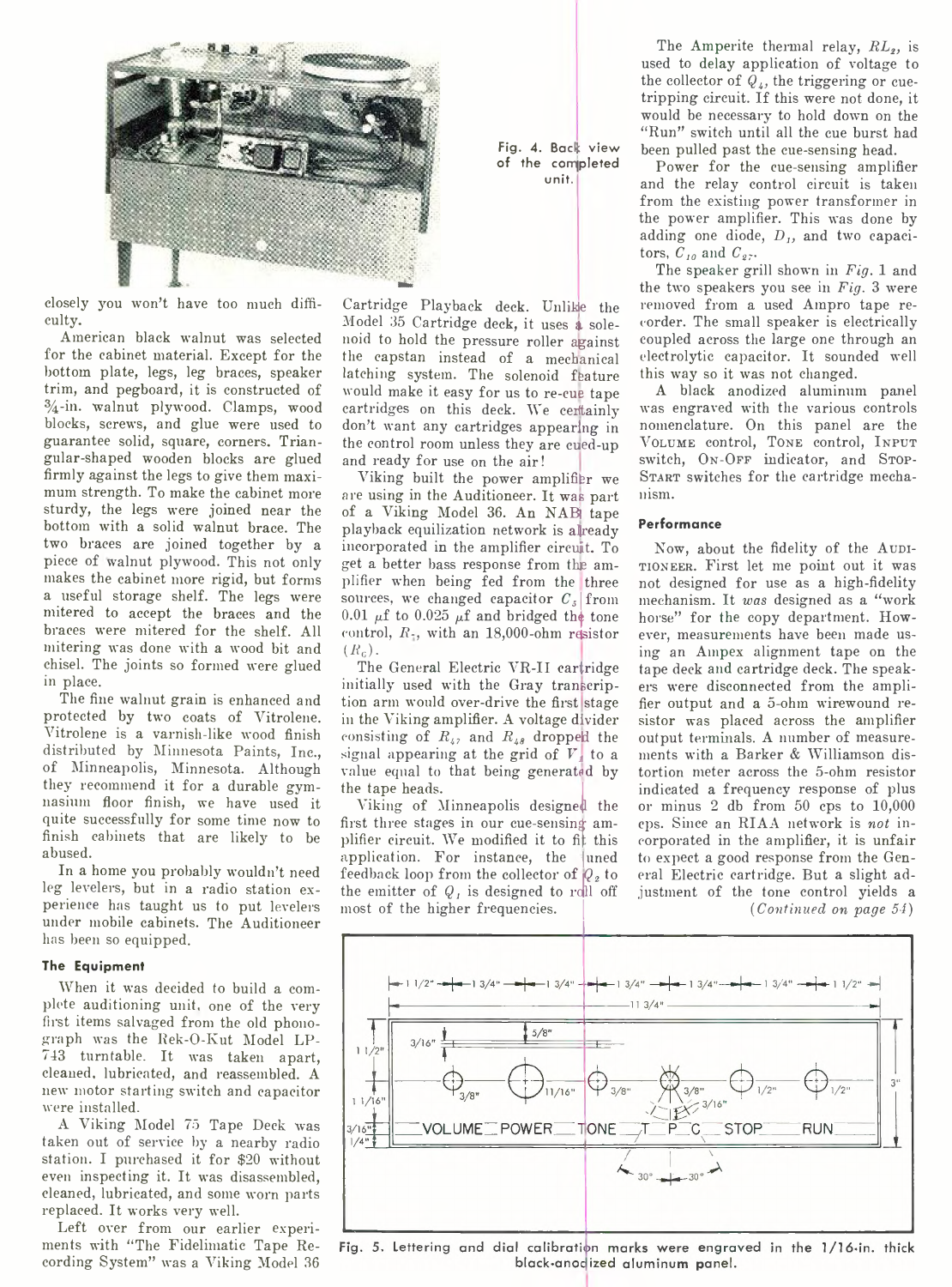

closely you won't have too much difficulty.

American black walnut was selected for the cabinet material. Except for the bottom plate, legs, leg braces, speaker trim, and pegboard, it is constructed of  $\frac{3}{4}$ -in. walnut plywood. Clamps, wood blocks, screws, and glue were used to guarantee solid, square, corners. Triangular-shaped wooden blocks are glued firmly against the legs to give them maximum strength. To make the cabinet more sturdy, the legs were joined near the bottom with a solid walnut brace. The two braces are joined together by a piece of walnut plywood. This not only makes the cabinet more rigid, but forms a useful storage shelf. The legs were mitered to accept the braces and the braces were mitered for the shelf. All mitering was done with a wood bit and chisel. The joints so formed were glued in place.

The fine walnut grain is enhanced and protected by two coats of Yitrolene. Vitrolene is a varnish-like wood finish distributed by Minnesota Paints, Inc., of Minneapolis, Minnesota. Although they recommend it for a durable gymnasium floor finish, we have used it quite successfully for some time now to finish cabinets that are likely to be abused.

In a home you probably wouldn't need leg levelers, but in a radio station experience has taught us to put levelers under mobile cabinets. The Auditioneer has been so equipped.

#### **The Equipment**

When it was decided to build a complete auditioning unit, one of the very first items salvaged from the old phonograph was the Rek-O-Kut Model LP-743 turntable. It was taken apart, cleaned, lubricated, and reassembled. A new motor starting switch and capacitor were installed.

A Viking Model 75 Tape Deck was taken out of service by a nearby radio station. I purchased it for \$20 without even inspecting it. It was disassembled, cleaned, lubricated, and some worn parts replaced. It works very well.

Left over from our earlier experiments with "The Fidelimatic Tape Recording System" was a Viking Model 36

**Fig.** *4.* **Back view of the completed unit.**

Cartridge Playback deck. Unlike the Model 35 Cartridge deck, it uses & solenoid to hold the pressure roller against the capstan instead of a mechanical latching system. The solenoid feature would make it easy for us to re-cue tape cartridges on this deck. We certainly don't want any cartridges appearing in the control room unless they are cued-up and ready for use on the air!

Viking built the power amplifier we are using in the Auditioneer. It was part of a Viking Model 36. An NAB tape playback equilization network is already incorporated in the amplifier circuit. To get a better bass response from the amplifier when being fed from the three sources, we changed capacitor  $C<sub>5</sub>$  from 0.01  $\mu$ f to 0.025  $\mu$ f and bridged the tone control,  $R_1$ , with an 18,000-ohm resistor  $(R_c)$ .

The General Electric VR-II cartridge initially used with the Gray transcription arm would over-drive the first stage in the Viking amplifier. A voltage divider consisting of  $R_{42}$  and  $R_{48}$  dropped the signal appearing at the grid of *V,* to a value equal to that being generated by the tape heads.

Viking of Minneapolis designed the first three stages in our cue-sensing amplifier circuit. We modified it to fit this application. For instance, the uned feedback loop from the collector of  $Q<sub>2</sub>$  to the emitter of  $Q_i$  is designed to roll off most of the higher frequencies.

The Amperite thermal relay, *RL*<sub>2</sub>, is used to delay application of voltage to the collector of  $Q_{\mu}$ , the triggering or cuetripping circuit. If this were not done, it would be necessary to hold down on the "Run" switch until all the cue burst had been pulled past the cue-sensing head.

Power for the cue-sensing amplifier and the relay control circuit is taken from the existing power transformer in the power amplifier. This was done by adding one diode,  $D<sub>I</sub>$ , and two capacitors,  $C_{10}$  and  $C_{27}$ .

The speaker grill shown in *Fig.* 1 and the two speakers you see in *Fig.* 3 were removed from a used Ampro tape recorder. The small speaker is electrically coupled across the large one through an electrolytic capacitor. It sounded well this way so it was not changed.

A black anodized aluminum panel was engraved with the various controls nomenclature. On this panel are the VOLUME control, TONE control, INPUT switch, ON-OFF indicator, and STOP-START switches for the cartridge mechanism.

### **Performance**

Now, about the fidelity of the AUDItioneer. First let me point out it was not designed for use as a high-fidelity mechanism. It *was* designed as a " work horse" for the copy department. However, measurements have been made using an Ampex alignment tape on the tape deck and cartridge deck. The speakers were disconnected from the amplifier output and a 5-ohm wirewound resistor was placed across the amplifier output terminals. A number of measurements with a Barker & Williamson distortion meter across the 5-ohm resistor indicated a frequency response of plus or minus 2 db from 50 cps to 10,000 cps. Since an RIAA network is *not* incorporated in the amplifier, it is unfair to expect a good response from the General Electric cartridge. But a slight adjustment of the tone control yields a *(Continued on page 54)*



Fig. 5. Lettering and dial calibration marks were engraved in the 1/16-in. thick black-anocized aluminum panel.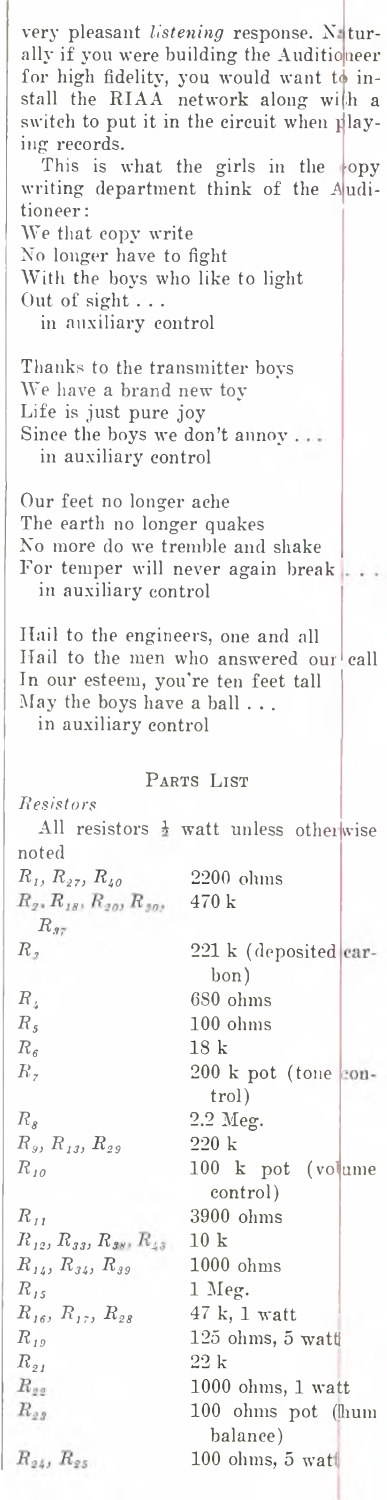very pleasant *listening* response. X turally if you were building the Auditio<mark>neer</mark> to for high fidelity, you would want install the RIAA network along wi h a switch to put it in the circuit when **p** laying records. This is what the girls in the  $\ket{\mathrm{opy}}$ writing department think of the *A* uditioneer: We that copy write No longer have to fight With the boys who like to light Out of sight . . . in auxiliary control Thanks to the transmitter boys We have a brand new toy Life is just pure joy Since the boys we don't annoy . in auxiliary control Our feet no longer ache The earth no longer quakes No more do we tremble and shake For temper will never again break in auxiliary control Ilail to the engineers, one and all Hail to the men who answered our call In our esteem, you're ten feet tall May the boys have a ball . . . in auxiliary control PARTS LIST *Resistors* All resistors  $\frac{1}{2}$  watt unless otherwise noted  $R_1, R_{27}, R_{40}$  2200 ohms<br>  $R_2, R_{18}, R_{20}, R_{30}, 470 \text{ k}$ 470 k *R.1 R,* 221 k (deposited carhon) *R4* 680 ohms  $R<sub>s</sub>$ 100 ohms  $R<sub>6</sub>$ 18 k  $R$ , 200 k pot (tone control)  $R_{8}$ 2.2 Meg.  $R_{y}, R_{13}, R_{29}$ 220 k *Rl 0* 100 k pot (volume control)  $R_{II}$ 3900 ohms  $R_{\,\rm\scriptscriptstyle 12},\,R_{\,\rm\scriptscriptstyle 33},\,R_{\,\rm\scriptscriptstyle 38},\,R_{\,\rm\scriptscriptstyle 43}$ 10 k  $R_{14}$ ,  $R_{34}$ ,  $R_{39}$ 1000 ohms  $R_{15}$ 1 Meg. 47 k, 1 watt  $R_{16}$ *, R<sub>17</sub>*,  $R_{28}$ *Rl9* 125 ohms, 5 watt *Rs1* 22 k  $R_{gg}$ 1000 ohms, 1 watt  $R_{\it 23}$ 100 ohms pot (hum balance)  $R_{24}$ ,  $R_{25}$ 100 ohms, 5 wat